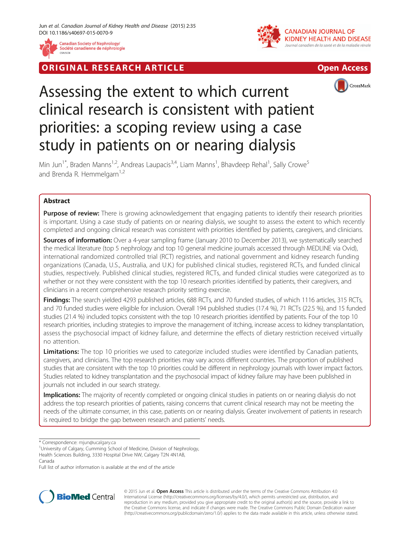







## CrossMark

# Assessing the extent to which current clinical research is consistent with patient priorities: a scoping review using a case study in patients on or nearing dialysis

Min Jun<sup>1\*</sup>, Braden Manns<sup>1,2</sup>, Andreas Laupacis<sup>3,4</sup>, Liam Manns<sup>1</sup>, Bhavdeep Rehal<sup>1</sup>, Sally Crowe<sup>5</sup> and Brenda R. Hemmelgarn $1,2$ 

## Abstract

Purpose of review: There is growing acknowledgement that engaging patients to identify their research priorities is important. Using a case study of patients on or nearing dialysis, we sought to assess the extent to which recently completed and ongoing clinical research was consistent with priorities identified by patients, caregivers, and clinicians.

Sources of information: Over a 4-year sampling frame (January 2010 to December 2013), we systematically searched the medical literature (top 5 nephrology and top 10 general medicine journals accessed through MEDLINE via Ovid), international randomized controlled trial (RCT) registries, and national government and kidney research funding organizations (Canada, U.S., Australia, and U.K.) for published clinical studies, registered RCTs, and funded clinical studies, respectively. Published clinical studies, registered RCTs, and funded clinical studies were categorized as to whether or not they were consistent with the top 10 research priorities identified by patients, their caregivers, and clinicians in a recent comprehensive research priority setting exercise.

Findings: The search yielded 4293 published articles, 688 RCTs, and 70 funded studies, of which 1116 articles, 315 RCTs, and 70 funded studies were eligible for inclusion. Overall 194 published studies (17.4 %), 71 RCTs (22.5 %), and 15 funded studies (21.4 %) included topics consistent with the top 10 research priorities identified by patients. Four of the top 10 research priorities, including strategies to improve the management of itching, increase access to kidney transplantation, assess the psychosocial impact of kidney failure, and determine the effects of dietary restriction received virtually no attention.

Limitations: The top 10 priorities we used to categorize included studies were identified by Canadian patients, caregivers, and clinicians. The top research priorities may vary across different countries. The proportion of published studies that are consistent with the top 10 priorities could be different in nephrology journals with lower impact factors. Studies related to kidney transplantation and the psychosocial impact of kidney failure may have been published in journals not included in our search strategy.

Implications: The majority of recently completed or ongoing clinical studies in patients on or nearing dialysis do not address the top research priorities of patients, raising concerns that current clinical research may not be meeting the needs of the ultimate consumer, in this case, patients on or nearing dialysis. Greater involvement of patients in research is required to bridge the gap between research and patients' needs.

\* Correspondence: [mjun@ucalgary.ca](mailto:mjun@ucalgary.ca) <sup>1</sup>

Health Sciences Building, 3330 Hospital Drive NW, Calgary T2N 4N1AB, Canada

Full list of author information is available at the end of the article



© 2015 Jun et al. Open Access This article is distributed under the terms of the Creative Commons Attribution 4.0 International License [\(http://creativecommons.org/licenses/by/4.0/](http://creativecommons.org/licenses/by/4.0/)), which permits unrestricted use, distribution, and reproduction in any medium, provided you give appropriate credit to the original author(s) and the source, provide a link to the Creative Commons license, and indicate if changes were made. The Creative Commons Public Domain Dedication waiver [\(http://creativecommons.org/publicdomain/zero/1.0/](http://creativecommons.org/publicdomain/zero/1.0/)) applies to the data made available in this article, unless otherwise stated.

<sup>&</sup>lt;sup>1</sup>University of Calgary, Cumming School of Medicine, Division of Nephrology,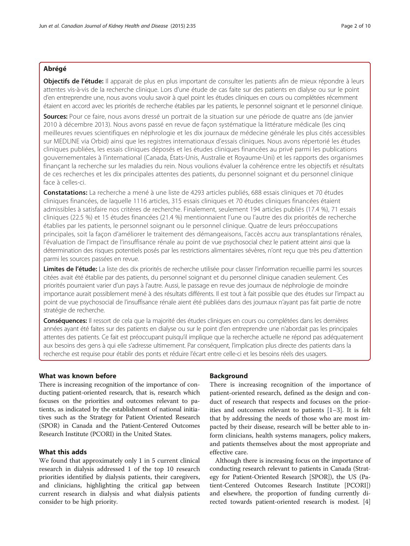## Abrégé

Objectifs de l'étude: Il apparait de plus en plus important de consulter les patients afin de mieux répondre à leurs attentes vis-à-vis de la recherche clinique. Lors d'une étude de cas faite sur des patients en dialyse ou sur le point d'en entreprendre une, nous avons voulu savoir à quel point les études cliniques en cours ou complétées récemment étaient en accord avec les priorités de recherche établies par les patients, le personnel soignant et le personnel clinique.

Sources: Pour ce faire, nous avons dressé un portrait de la situation sur une période de quatre ans (de janvier 2010 à décembre 2013). Nous avons passé en revue de façon systématique la littérature médicale (les cinq meilleures revues scientifiques en néphrologie et les dix journaux de médecine générale les plus cités accessibles sur MEDLINE via Orbid) ainsi que les registres internationaux d'essais cliniques. Nous avons répertorié les études cliniques publiées, les essais cliniques déposés et les études cliniques financées au privé parmi les publications gouvernementales à l'international (Canada, États-Unis, Australie et Royaume-Uni) et les rapports des organismes finançant la recherche sur les maladies du rein. Nous voulions évaluer la cohérence entre les objectifs et résultats de ces recherches et les dix principales attentes des patients, du personnel soignant et du personnel clinique face à celles-ci.

Constatations: La recherche a mené à une liste de 4293 articles publiés, 688 essais cliniques et 70 études cliniques financées, de laquelle 1116 articles, 315 essais cliniques et 70 études cliniques financées étaient admissibles à satisfaire nos critères de recherche. Finalement, seulement 194 articles publiés (17.4 %), 71 essais cliniques (22.5 %) et 15 études financées (21.4 %) mentionnaient l'une ou l'autre des dix priorités de recherche établies par les patients, le personnel soignant ou le personnel clinique. Quatre de leurs préoccupations principales, soit la façon d'améliorer le traitement des démangeaisons, l'accès accru aux transplantations rénales, l'évaluation de l'impact de l'insuffisance rénale au point de vue psychosocial chez le patient atteint ainsi que la détermination des risques potentiels posés par les restrictions alimentaires sévères, n'ont reçu que très peu d'attention parmi les sources passées en revue.

Limites de l'étude: La liste des dix priorités de recherche utilisée pour classer l'information recueillie parmi les sources citées avait été établie par des patients, du personnel soignant et du personnel clinique canadien seulement. Ces priorités pourraient varier d'un pays à l'autre. Aussi, le passage en revue des journaux de néphrologie de moindre importance aurait possiblement mené à des résultats différents. Il est tout à fait possible que des études sur l'impact au point de vue psychosocial de l'insuffisance rénale aient été publiées dans des journaux n'ayant pas fait partie de notre stratégie de recherche.

Conséquences: Il ressort de cela que la majorité des études cliniques en cours ou complétées dans les dernières années ayant été faites sur des patients en dialyse ou sur le point d'en entreprendre une n'abordait pas les principales attentes des patients. Ce fait est préoccupant puisqu'il implique que la recherche actuelle ne répond pas adéquatement aux besoins des gens à qui elle s'adresse ultimement. Par conséquent, l'implication plus directe des patients dans la recherche est requise pour établir des ponts et réduire l'écart entre celle-ci et les besoins réels des usagers.

## What was known before

There is increasing recognition of the importance of conducting patient-oriented research, that is, research which focuses on the priorities and outcomes relevant to patients, as indicated by the establishment of national initiatives such as the Strategy for Patient Oriented Research (SPOR) in Canada and the Patient-Centered Outcomes Research Institute (PCORI) in the United States.

## What this adds

We found that approximately only 1 in 5 current clinical research in dialysis addressed 1 of the top 10 research priorities identified by dialysis patients, their caregivers, and clinicians, highlighting the critical gap between current research in dialysis and what dialysis patients consider to be high priority.

## Background

There is increasing recognition of the importance of patient-oriented research, defined as the design and conduct of research that respects and focuses on the priorities and outcomes relevant to patients [\[1](#page-8-0)–[3](#page-8-0)]. It is felt that by addressing the needs of those who are most impacted by their disease, research will be better able to inform clinicians, health systems managers, policy makers, and patients themselves about the most appropriate and effective care.

Although there is increasing focus on the importance of conducting research relevant to patients in Canada (Strategy for Patient-Oriented Research [SPOR]), the US (Patient-Centered Outcomes Research Institute [PCORI]) and elsewhere, the proportion of funding currently directed towards patient-oriented research is modest. [[4](#page-8-0)]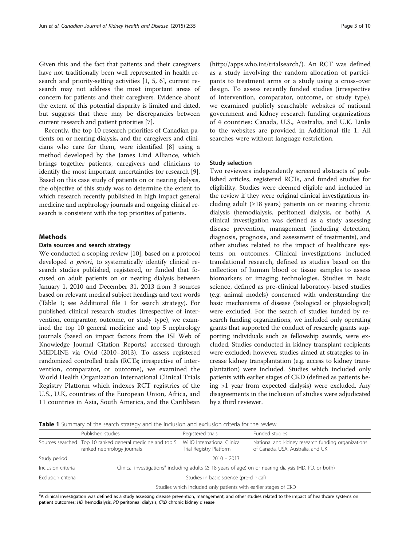Given this and the fact that patients and their caregivers have not traditionally been well represented in health research and priority-setting activities [\[1](#page-8-0), [5, 6\]](#page-8-0), current research may not address the most important areas of concern for patients and their caregivers. Evidence about the extent of this potential disparity is limited and dated, but suggests that there may be discrepancies between current research and patient priorities [\[7\]](#page-8-0).

Recently, the top 10 research priorities of Canadian patients on or nearing dialysis, and the caregivers and clinicians who care for them, were identified [\[8](#page-8-0)] using a method developed by the James Lind Alliance, which brings together patients, caregivers and clinicians to identify the most important uncertainties for research [[9](#page-8-0)]. Based on this case study of patients on or nearing dialysis, the objective of this study was to determine the extent to which research recently published in high impact general medicine and nephrology journals and ongoing clinical research is consistent with the top priorities of patients.

## Methods

#### Data sources and search strategy

We conducted a scoping review [\[10\]](#page-8-0), based on a protocol developed *a priori*, to systematically identify clinical research studies published, registered, or funded that focused on adult patients on or nearing dialysis between January 1, 2010 and December 31, 2013 from 3 sources based on relevant medical subject headings and text words (Table 1; see Additional file [1](#page-8-0) for search strategy). For published clinical research studies (irrespective of intervention, comparator, outcome, or study type), we examined the top 10 general medicine and top 5 nephrology journals (based on impact factors from the ISI Web of Knowledge Journal Citation Reports) accessed through MEDLINE via Ovid (2010–2013). To assess registered randomized controlled trials (RCTs; irrespective of intervention, comparator, or outcome), we examined the World Health Organization International Clinical Trials Registry Platform which indexes RCT registries of the U.S., U.K, countries of the European Union, Africa, and 11 countries in Asia, South America, and the Caribbean

([http://apps.who.int/trialsearch/\)](http://apps.who.int/trialsearch/). An RCT was defined as a study involving the random allocation of participants to treatment arms or a study using a cross-over design. To assess recently funded studies (irrespective of intervention, comparator, outcome, or study type), we examined publicly searchable websites of national government and kidney research funding organizations of 4 countries: Canada, U.S., Australia, and U.K. Links to the websites are provided in Additional file [1](#page-8-0). All searches were without language restriction.

#### Study selection

Two reviewers independently screened abstracts of published articles, registered RCTs, and funded studies for eligibility. Studies were deemed eligible and included in the review if they were original clinical investigations including adult (≥18 years) patients on or nearing chronic dialysis (hemodialysis, peritoneal dialysis, or both). A clinical investigation was defined as a study assessing disease prevention, management (including detection, diagnosis, prognosis, and assessment of treatments), and other studies related to the impact of healthcare systems on outcomes. Clinical investigations included translational research, defined as studies based on the collection of human blood or tissue samples to assess biomarkers or imaging technologies. Studies in basic science, defined as pre-clinical laboratory-based studies (e.g. animal models) concerned with understanding the basic mechanisms of disease (biological or physiological) were excluded. For the search of studies funded by research funding organizations, we included only operating grants that supported the conduct of research; grants supporting individuals such as fellowship awards, were excluded. Studies conducted in kidney transplant recipients were excluded; however, studies aimed at strategies to increase kidney transplantation (e.g. access to kidney transplantation) were included. Studies which included only patients with earlier stages of CKD (defined as patients being >1 year from expected dialysis) were excluded. Any disagreements in the inclusion of studies were adjudicated by a third reviewer.

**Table 1** Summary of the search strategy and the inclusion and exclusion criteria for the review

|                    | Published studies                                                                                                        | Registered trials                                     | Funded studies                                                                          |  |  |
|--------------------|--------------------------------------------------------------------------------------------------------------------------|-------------------------------------------------------|-----------------------------------------------------------------------------------------|--|--|
|                    | Sources searched Top 10 ranked general medicine and top 5<br>ranked nephrology journals                                  | WHO International Clinical<br>Trial Registry Platform | National and kidney research funding organizations<br>of Canada, USA, Australia, and UK |  |  |
| Study period       | $2010 - 2013$                                                                                                            |                                                       |                                                                                         |  |  |
| Inclusion criteria | Clinical investigations <sup>a</sup> including adults ( $\geq$ 18 years of age) on or nearing dialysis (HD, PD, or both) |                                                       |                                                                                         |  |  |
| Exclusion criteria | Studies in basic science (pre-clinical)                                                                                  |                                                       |                                                                                         |  |  |
|                    | Studies which included only patients with earlier stages of CKD                                                          |                                                       |                                                                                         |  |  |

<sup>a</sup>A clinical investigation was defined as a study assessing disease prevention, management, and other studies related to the impact of healthcare systems on patient outcomes; HD hemodialysis, PD peritoneal dialysis; CKD chronic kidney disease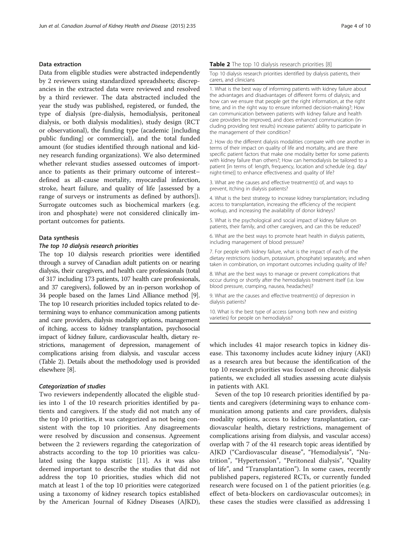#### Data extraction

Data from eligible studies were abstracted independently by 2 reviewers using standardized spreadsheets; discrepancies in the extracted data were reviewed and resolved by a third reviewer. The data abstracted included the year the study was published, registered, or funded, the type of dialysis (pre-dialysis, hemodialysis, peritoneal dialysis, or both dialysis modalities), study design (RCT or observational), the funding type (academic [including public funding] or commercial), and the total funded amount (for studies identified through national and kidney research funding organizations). We also determined whether relevant studies assessed outcomes of importance to patients as their primary outcome of interest– defined as all-cause mortality, myocardial infarction, stroke, heart failure, and quality of life [assessed by a range of surveys or instruments as defined by authors]). Surrogate outcomes such as biochemical markers (e.g. iron and phosphate) were not considered clinically important outcomes for patients.

#### Data synthesis

#### The top 10 dialysis research priorities

The top 10 dialysis research priorities were identified through a survey of Canadian adult patients on or nearing dialysis, their caregivers, and health care professionals (total of 317 including 173 patients, 107 health care professionals, and 37 caregivers), followed by an in-person workshop of 34 people based on the James Lind Alliance method [[9](#page-8-0)]. The top 10 research priorities included topics related to determining ways to enhance communication among patients and care providers, dialysis modality options, management of itching, access to kidney transplantation, psychosocial impact of kidney failure, cardiovascular health, dietary restrictions, management of depression, management of complications arising from dialysis, and vascular access (Table 2). Details about the methodology used is provided elsewhere [\[8](#page-8-0)].

## Categorization of studies

Two reviewers independently allocated the eligible studies into 1 of the 10 research priorities identified by patients and caregivers. If the study did not match any of the top 10 priorities, it was categorized as not being consistent with the top 10 priorities. Any disagreements were resolved by discussion and consensus. Agreement between the 2 reviewers regarding the categorization of abstracts according to the top 10 priorities was calculated using the kappa statistic [[11\]](#page-8-0). As it was also deemed important to describe the studies that did not address the top 10 priorities, studies which did not match at least 1 of the top 10 priorities were categorized using a taxonomy of kidney research topics established by the American Journal of Kidney Diseases (AJKD),

## Table 2 The top 10 dialysis research priorities [[8\]](#page-8-0)

Top 10 dialysis research priorities identified by dialysis patients, their carers, and clinicians

1. What is the best way of informing patients with kidney failure about the advantages and disadvantages of different forms of dialysis; and how can we ensure that people get the right information, at the right time, and in the right way to ensure informed decision-making?; How can communication between patients with kidney failure and health care providers be improved, and does enhanced communication (including providing test results) increase patients' ability to participate in the management of their condition?

2. How do the different dialysis modalities compare with one another in terms of their impact on quality of life and mortality, and are there specific patient factors that make one modality better for some patients with kidney failure than others?; How can hemodialysis be tailored to a patient [in terms of: length, frequency, location and schedule (e.g. day/ night-time)] to enhance effectiveness and quality of life?

3. What are the causes and effective treatment(s) of, and ways to prevent, itching in dialysis patients?

4. What is the best strategy to increase kidney transplantation; including access to transplantation, increasing the efficiency of the recipient workup, and increasing the availability of donor kidneys?

5. What is the psychological and social impact of kidney failure on patients, their family, and other caregivers, and can this be reduced?

6. What are the best ways to promote heart health in dialysis patients, including management of blood pressure?

7. For people with kidney failure, what is the impact of each of the dietary restrictions (sodium, potassium, phosphate) separately, and when taken in combination, on important outcomes including quality of life?

8. What are the best ways to manage or prevent complications that occur during or shortly after the hemodialysis treatment itself (i.e. low blood pressure, cramping, nausea, headaches)?

9. What are the causes and effective treatment(s) of depression in dialysis patients?

10. What is the best type of access (among both new and existing varieties) for people on hemodialysis?

which includes 41 major research topics in kidney disease. This taxonomy includes acute kidney injury (AKI) as a research area but because the identification of the top 10 research priorities was focused on chronic dialysis patients, we excluded all studies assessing acute dialysis in patients with AKI.

Seven of the top 10 research priorities identified by patients and caregivers (determining ways to enhance communication among patients and care providers, dialysis modality options, access to kidney transplantation, cardiovascular health, dietary restrictions, management of complications arising from dialysis, and vascular access) overlap with 7 of the 41 research topic areas identified by AJKD ("Cardiovascular disease", "Hemodialysis", "Nutrition", "Hypertension", "Peritoneal dialysis", "Quality of life", and "Transplantation"). In some cases, recently published papers, registered RCTs, or currently funded research were focused on 1 of the patient priorities (e.g. effect of beta-blockers on cardiovascular outcomes); in these cases the studies were classified as addressing 1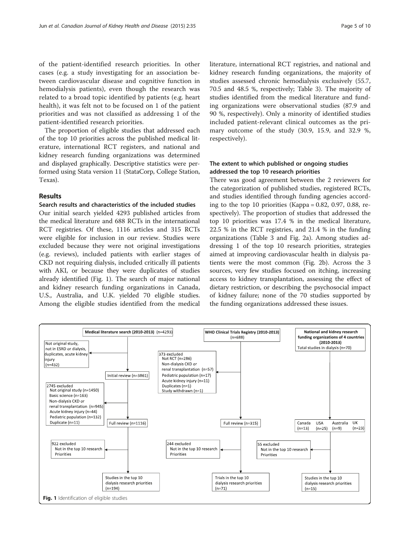of the patient-identified research priorities. In other cases (e.g. a study investigating for an association between cardiovascular disease and cognitive function in hemodialysis patients), even though the research was related to a broad topic identified by patients (e.g. heart health), it was felt not to be focused on 1 of the patient priorities and was not classified as addressing 1 of the patient-identified research priorities.

The proportion of eligible studies that addressed each of the top 10 priorities across the published medical literature, international RCT registers, and national and kidney research funding organizations was determined and displayed graphically. Descriptive statistics were performed using Stata version 11 (StataCorp, College Station, Texas).

## Results

## Search results and characteristics of the included studies

Our initial search yielded 4293 published articles from the medical literature and 688 RCTs in the international RCT registries. Of these, 1116 articles and 315 RCTs were eligible for inclusion in our review. Studies were excluded because they were not original investigations (e.g. reviews), included patients with earlier stages of CKD not requiring dialysis, included critically ill patients with AKI, or because they were duplicates of studies already identified (Fig. 1). The search of major national and kidney research funding organizations in Canada, U.S., Australia, and U.K. yielded 70 eligible studies. Among the eligible studies identified from the medical literature, international RCT registries, and national and kidney research funding organizations, the majority of studies assessed chronic hemodialysis exclusively (55.7, 70.5 and 48.5 %, respectively; Table [3](#page-5-0)). The majority of studies identified from the medical literature and funding organizations were observational studies (87.9 and 90 %, respectively). Only a minority of identified studies included patient-relevant clinical outcomes as the primary outcome of the study (30.9, 15.9, and 32.9 %, respectively).

## The extent to which published or ongoing studies addressed the top 10 research priorities

There was good agreement between the 2 reviewers for the categorization of published studies, registered RCTs, and studies identified through funding agencies according to the top 10 priorities (Kappa =  $0.82$ ,  $0.97$ ,  $0.88$ , respectively). The proportion of studies that addressed the top 10 priorities was 17.4 % in the medical literature, 22.5 % in the RCT registries, and 21.4 % in the funding organizations (Table [3](#page-5-0) and Fig. [2a](#page-6-0)). Among studies addressing 1 of the top 10 research priorities, strategies aimed at improving cardiovascular health in dialysis patients were the most common (Fig. [2b](#page-6-0)). Across the 3 sources, very few studies focused on itching, increasing access to kidney transplantation, assessing the effect of dietary restriction, or describing the psychosocial impact of kidney failure; none of the 70 studies supported by the funding organizations addressed these issues.

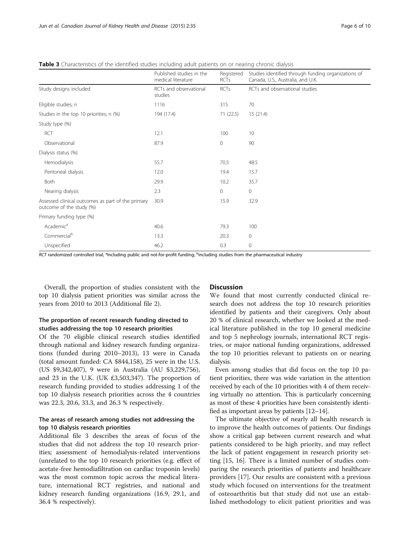<span id="page-5-0"></span>Table 3 Characteristics of the identified studies including adult patients on or nearing chronic dialysis

|                                                                               | Published studies in the<br>medical literature | Registered<br><b>RCTs</b> | Studies identified through funding organizations of<br>Canada, U.S., Australia, and U.K. |
|-------------------------------------------------------------------------------|------------------------------------------------|---------------------------|------------------------------------------------------------------------------------------|
| Study designs included                                                        | RCTs and observational<br>studies              | <b>RCTs</b>               | RCTs and observational studies                                                           |
| Eligible studies; n                                                           | 1116                                           | 315                       | 70                                                                                       |
| Studies in the top 10 priorities; n (%)                                       | 194 (17.4)                                     | 71(22.5)                  | 15(21.4)                                                                                 |
| Study type (%)                                                                |                                                |                           |                                                                                          |
| <b>RCT</b>                                                                    | 12.1                                           | 100                       | 10                                                                                       |
| Observational                                                                 | 87.9                                           | $\circ$                   | 90                                                                                       |
| Dialysis status (%)                                                           |                                                |                           |                                                                                          |
| Hemodialysis                                                                  | 55.7                                           | 70.5                      | 48.5                                                                                     |
| Peritoneal dialysis                                                           | 12.0                                           | 19.4                      | 15.7                                                                                     |
| Both                                                                          | 29.9                                           | 10.2                      | 35.7                                                                                     |
| Nearing dialysis                                                              | 2.3                                            | $\mathbf{0}$              | $\circ$                                                                                  |
| Assessed clinical outcomes as part of the primary<br>outcome of the study (%) | 30.9                                           | 15.9                      | 32.9                                                                                     |
| Primary funding type (%)                                                      |                                                |                           |                                                                                          |
| Academic <sup>a</sup>                                                         | 40.6                                           | 79.3                      | 100                                                                                      |
| Commercial <sup>b</sup>                                                       | 13.3                                           | 20.3                      | $\mathbf{0}$                                                                             |
| Unspecified                                                                   | 46.2                                           | 0.3                       | $\mathbf 0$                                                                              |

RCT randomized controlled trial, <sup>a</sup>Including public and not-for-profit funding; <sup>b</sup>including studies from the pharmaceutical industry

Overall, the proportion of studies consistent with the top 10 dialysis patient priorities was similar across the years from 2010 to 2013 (Additional file [2\)](#page-8-0).

## The proportion of recent research funding directed to studies addressing the top 10 research priorities

Of the 70 eligible clinical research studies identified through national and kidney research funding organizations (funded during 2010–2013), 13 were in Canada (total amount funded: CA \$844,158), 25 were in the U.S. (US \$9,342,407), 9 were in Australia (AU \$3,229,756), and 23 in the U.K. (UK ₤3,503,347). The proportion of research funding provided to studies addressing 1 of the top 10 dialysis research priorities across the 4 countries was 22.3, 20.6, 33.3, and 26.3 % respectively.

## The areas of research among studies not addressing the top 10 dialysis research priorities

Additional file [3](#page-8-0) describes the areas of focus of the studies that did not address the top 10 research priorities; assessment of hemodialysis-related interventions (unrelated to the top 10 research priorities (e.g. effect of acetate-free hemodiafiltration on cardiac troponin levels) was the most common topic across the medical literature, international RCT registries, and national and kidney research funding organizations (16.9, 29.1, and 36.4 % respectively).

#### **Discussion**

We found that most currently conducted clinical research does not address the top 10 research priorities identified by patients and their caregivers. Only about 20 % of clinical research, whether we looked at the medical literature published in the top 10 general medicine and top 5 nephrology journals, international RCT registries, or major national funding organizations, addressed the top 10 priorities relevant to patients on or nearing dialysis.

Even among studies that did focus on the top 10 patient priorities, there was wide variation in the attention received by each of the 10 priorities with 4 of them receiving virtually no attention. This is particularly concerning as most of these 4 priorities have been consistently identified as important areas by patients [[12](#page-8-0)–[14\]](#page-8-0).

The ultimate objective of nearly all health research is to improve the health outcomes of patients. Our findings show a critical gap between current research and what patients considered to be high priority, and may reflect the lack of patient engagement in research priority setting [\[15](#page-8-0), [16](#page-8-0)]. There is a limited number of studies comparing the research priorities of patients and healthcare providers [[17\]](#page-8-0). Our results are consistent with a previous study which focused on interventions for the treatment of osteoarthritis but that study did not use an established methodology to elicit patient priorities and was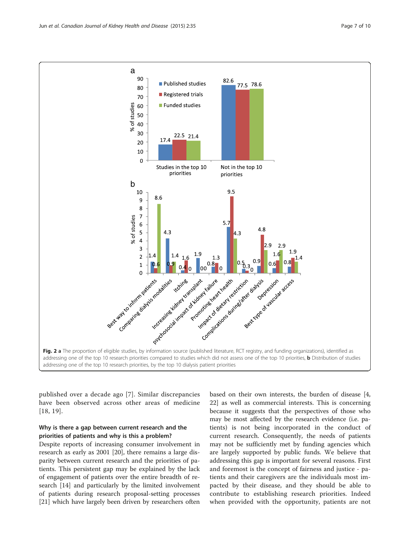<span id="page-6-0"></span>

published over a decade ago [[7](#page-8-0)]. Similar discrepancies have been observed across other areas of medicine [[18](#page-8-0), [19\]](#page-8-0).

## Why is there a gap between current research and the priorities of patients and why is this a problem?

Despite reports of increasing consumer involvement in research as early as 2001 [\[20\]](#page-8-0), there remains a large disparity between current research and the priorities of patients. This persistent gap may be explained by the lack of engagement of patients over the entire breadth of research [\[14\]](#page-8-0) and particularly by the limited involvement of patients during research proposal-setting processes [[21\]](#page-8-0) which have largely been driven by researchers often based on their own interests, the burden of disease [\[4](#page-8-0), [22\]](#page-8-0) as well as commercial interests. This is concerning because it suggests that the perspectives of those who may be most affected by the research evidence (i.e. patients) is not being incorporated in the conduct of current research. Consequently, the needs of patients may not be sufficiently met by funding agencies which are largely supported by public funds. We believe that addressing this gap is important for several reasons. First and foremost is the concept of fairness and justice - patients and their caregivers are the individuals most impacted by their disease, and they should be able to contribute to establishing research priorities. Indeed when provided with the opportunity, patients are not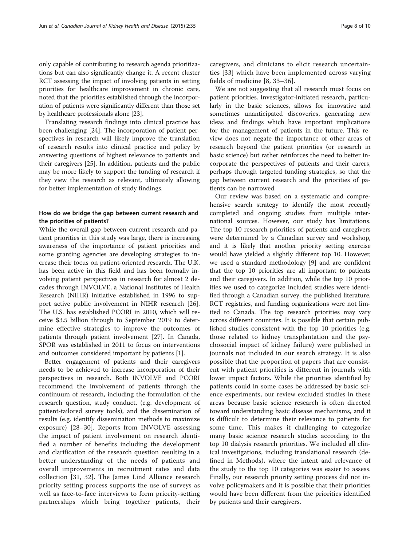only capable of contributing to research agenda prioritizations but can also significantly change it. A recent cluster RCT assessing the impact of involving patients in setting priorities for healthcare improvement in chronic care, noted that the priorities established through the incorporation of patients were significantly different than those set by healthcare professionals alone [[23](#page-8-0)].

Translating research findings into clinical practice has been challenging [[24\]](#page-8-0). The incorporation of patient perspectives in research will likely improve the translation of research results into clinical practice and policy by answering questions of highest relevance to patients and their caregivers [\[25\]](#page-8-0). In addition, patients and the public may be more likely to support the funding of research if they view the research as relevant, ultimately allowing for better implementation of study findings.

## How do we bridge the gap between current research and the priorities of patients?

While the overall gap between current research and patient priorities in this study was large, there is increasing awareness of the importance of patient priorities and some granting agencies are developing strategies to increase their focus on patient-oriented research. The U.K. has been active in this field and has been formally involving patient perspectives in research for almost 2 decades through INVOLVE, a National Institutes of Health Research (NIHR) initiative established in 1996 to support active public involvement in NIHR research [\[26](#page-8-0)]. The U.S. has established PCORI in 2010, which will receive \$3.5 billion through to September 2019 to determine effective strategies to improve the outcomes of patients through patient involvement [[27](#page-8-0)]. In Canada, SPOR was established in 2011 to focus on interventions and outcomes considered important by patients [[1\]](#page-8-0).

Better engagement of patients and their caregivers needs to be achieved to increase incorporation of their perspectives in research. Both INVOLVE and PCORI recommend the involvement of patients through the continuum of research, including the formulation of the research question, study conduct, (e.g. development of patient-tailored survey tools), and the dissemination of results (e.g. identify dissemination methods to maximize exposure) [[28](#page-8-0)–[30\]](#page-8-0). Reports from INVOLVE assessing the impact of patient involvement on research identified a number of benefits including the development and clarification of the research question resulting in a better understanding of the needs of patients and overall improvements in recruitment rates and data collection [[31](#page-8-0), [32\]](#page-8-0). The James Lind Alliance research priority setting process supports the use of surveys as well as face-to-face interviews to form priority-setting partnerships which bring together patients, their

caregivers, and clinicians to elicit research uncertainties [\[33](#page-9-0)] which have been implemented across varying fields of medicine [\[8,](#page-8-0) [33](#page-9-0)–[36](#page-9-0)].

We are not suggesting that all research must focus on patient priorities. Investigator-initiated research, particularly in the basic sciences, allows for innovative and sometimes unanticipated discoveries, generating new ideas and findings which have important implications for the management of patients in the future. This review does not negate the importance of other areas of research beyond the patient priorities (or research in basic science) but rather reinforces the need to better incorporate the perspectives of patients and their carers, perhaps through targeted funding strategies, so that the gap between current research and the priorities of patients can be narrowed.

Our review was based on a systematic and comprehensive search strategy to identify the most recently completed and ongoing studies from multiple international sources. However, our study has limitations. The top 10 research priorities of patients and caregivers were determined by a Canadian survey and workshop, and it is likely that another priority setting exercise would have yielded a slightly different top 10. However, we used a standard methodology [[9\]](#page-8-0) and are confident that the top 10 priorities are all important to patients and their caregivers. In addition, while the top 10 priorities we used to categorize included studies were identified through a Canadian survey, the published literature, RCT registries, and funding organizations were not limited to Canada. The top research priorities may vary across different countries. It is possible that certain published studies consistent with the top 10 priorities (e.g. those related to kidney transplantation and the psychosocial impact of kidney failure) were published in journals not included in our search strategy. It is also possible that the proportion of papers that are consistent with patient priorities is different in journals with lower impact factors. While the priorities identified by patients could in some cases be addressed by basic science experiments, our review excluded studies in these areas because basic science research is often directed toward understanding basic disease mechanisms, and it is difficult to determine their relevance to patients for some time. This makes it challenging to categorize many basic science research studies according to the top 10 dialysis research priorities. We included all clinical investigations, including translational research (defined in Methods), where the intent and relevance of the study to the top 10 categories was easier to assess. Finally, our research priority setting process did not involve policymakers and it is possible that their priorities would have been different from the priorities identified by patients and their caregivers.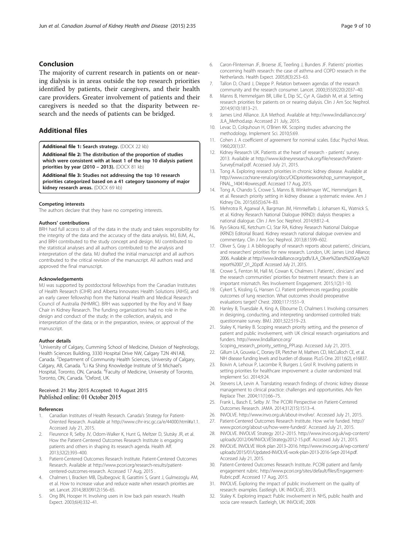<span id="page-8-0"></span>The majority of current research in patients on or nearing dialysis is in areas outside the top research priorities identified by patients, their caregivers, and their health care providers. Greater involvement of patients and their caregivers is needed so that the disparity between research and the needs of patients can be bridged.

## Additional files

[Additional file 1:](http://www.cjkhd.org/content/supplementary/s40697-015-0070-9-s1.docx) Search strategy. (DOCX 22 kb)

[Additional file 2:](http://www.cjkhd.org/content/supplementary/s40697-015-0070-9-s2.docx) The distribution of the proportion of studies which were consistent with at least 1 of the top 10 dialysis patient priorities by year (2010 – 2013). (DOCX 81 kb)

[Additional file 3:](http://www.cjkhd.org/content/supplementary/s40697-015-0070-9-s3.docx) Studies not addressing the top 10 research priorities categorized based on a 41 category taxonomy of major kidney research areas. (DOCX 69 kb)

#### Competing interests

The authors declare that they have no competing interests.

#### Authors' contributions

BRH had full access to all of the data in the study and takes responsibility for the integrity of the data and the accuracy of the data analysis. MJ, BJM, AL, and BRH contributed to the study concept and design. MJ contributed to the statistical analyses and all authors contributed to the analysis and interpretation of the data. MJ drafted the initial manuscript and all authors contributed to the critical revision of the manuscript. All authors read and approved the final manuscript.

#### Acknowledgements

MJ was supported by postdoctoral fellowships from the Canadian Institutes of Health Research (CIHR) and Alberta Innovates Health Solutions (AIHS), and an early career fellowship from the National Health and Medical Research Council of Australia (NHMRC). BRH was supported by the Roy and Vi Baay Chair in Kidney Research. The funding organizations had no role in the design and conduct of the study; in the collection, analysis, and interpretation of the data; or in the preparation, review, or approval of the manuscript.

#### Author details

<sup>1</sup>University of Calgary, Cumming School of Medicine, Division of Nephrology, Health Sciences Building, 3330 Hospital Drive NW, Calgary T2N 4N1AB, Canada. <sup>2</sup>Department of Community Health Sciences, University of Calgary, Calgary, AB, Canada. <sup>3</sup>Li Ka Shing Knowledge Institute of St Michael's Hospital, Toronto, ON, Canada. <sup>4</sup> Faculty of Medicine, University of Toronto, Toronto, ON, Canada. <sup>5</sup>Oxford, UK.

#### Received: 21 May 2015 Accepted: 10 August 2015 Published online: 01 October 2015

#### References

- 1. Canadian Institutes of Health Research. Canada's Strategy for Patient-Oriented Research. Available at [http://www.cihr-irsc.gc.ca/e/44000.html#a1.1.](http://www.cihr-irsc.gc.ca/e/44000.html#a1.1) Accessed July 21, 2015.
- 2. Fleurence R, Selby JV, Odom-Walker K, Hunt G, Meltzer D, Slutsky JR, et al. How the Patient-Centered Outcomes Research Institute is engaging patients and others in shaping its research agenda. Health Aff. 2013;32(2):393–400.
- 3. Patient-Centered Outcomes Research Institute. Patient-Centered Outcomes Research. Available at [http://www.pcori.org/research-results/patient](http://www.pcori.org/research-results/patient-centered-outcomes-research)[centered-outcomes-research](http://www.pcori.org/research-results/patient-centered-outcomes-research). Accessed 17 Aug, 2015 .
- 4. Chalmers I, Bracken MB, Djulbegovic B, Garattini S, Grant J, Gulmezoglu AM, et al. How to increase value and reduce waste when research priorities are set. Lancet. 2014:383(9912):156-65.
- 5. Ong BN, Hooper H. Involving users in low back pain research. Health Expect. 2003;6(4):332–41.
- 6. Caron-Flinterman JF, Broerse JE, Teerling J, Bunders JF. Patients' priorities concerning health research: the case of asthma and COPD research in the Netherlands. Health Expect. 2005;8(3):253–63.
- 7. Tallon D, Chard J, Dieppe P. Relation between agendas of the research community and the research consumer. Lancet. 2000;355(9220):2037–40.
- 8. Manns B, Hemmelgarn BR, Lillie E, Dip SC, Cyr A, Gladish M, et al. Setting research priorities for patients on or nearing dialysis. Clin J Am Soc Nephrol. 2014;9(10):1813–21.
- 9. James Lind Alliance. JLA Method. Available at [http://www.lindalliance.org/](http://www.lindalliance.org/JLA_Method.asp) [JLA\\_Method.asp](http://www.lindalliance.org/JLA_Method.asp). Accessed 21 July, 2015.
- 10. Levac D, Colquhoun H, O'Brien KK. Scoping studies: advancing the methodology. Implement Sci. 2010;5:69.
- 11. Cohen J. A coefficient of agreement for nominal scales. Educ Psychol Meas. 1960;20(1):37.
- 12. Kidney Research UK. Patients at the heart of research patients' survey. 2013. Available at [http://www.kidneyresearchuk.org/file/research/Patient-](http://www.kidneyresearchuk.org/file/research/Patient-SurveyEmail.pdf)[SurveyEmail.pdf](http://www.kidneyresearchuk.org/file/research/Patient-SurveyEmail.pdf). Accessed July 21, 2015.
- 13. Tong A. Exploring research priorities in chronic kidney disease. Available at [http://www.cochrane-renal.org/docs/CKDprioritiesworkshop\\_summaryreport\\_](http://www.cochrane-renal.org/docs/CKDprioritiesworkshop_summaryreport_FINAL_140414lowres.pdf) [FINAL\\_140414lowres.pdf](http://www.cochrane-renal.org/docs/CKDprioritiesworkshop_summaryreport_FINAL_140414lowres.pdf). Accessed 17 Aug, 2015.
- 14. Tong A, Chando S, Crowe S, Manns B, Winkelmayer WC, Hemmelgarn B, et al. Research priority setting in kidney disease: a systematic review. Am J Kidney Dis. 2015;65(5):674–83.
- 15. Mehrotra R, Agarwal A, Bargman JM, Himmelfarb J, Johansen KL, Watnick S, et al. Kidney Research National Dialogue (KRND): dialysis therapies: a national dialogue. Clin J Am Soc Nephrol. 2014;9:812–4.
- 16. Rys-Sikora KE, Ketchum CJ, Star RA, Kidney Research National Dialogue (KRND) Editorial Board. Kidney research national dialogue overview and commentary. Clin J Am Soc Nephrol. 2013;8:1599–602.
- 17. Oliver S, Gray J. A bibliography of research reports about patients', clinicians, and researchers' priorities for new research. London, UK: James Lind Alliance; 2006. Available at [http://www.lindalliance.org/pdfs/JLA\\_Oliver%20and%20Gray%20](http://www.lindalliance.org/pdfs/JLA_Oliver%20and%20Gray%20report%2007_01_20.pdf) [report%2007\\_01\\_20.pdf](http://www.lindalliance.org/pdfs/JLA_Oliver%20and%20Gray%20report%2007_01_20.pdf). Accessed July 21, 2015.
- 18. Crowe S, Fenton M, Hall M, Cowan K, Chalmers I. Patients', clinicians' and the research communities' priorities for treatment research: there is an important mismatch. Res Involvement Engagement. 2015;1(2):1-10.
- 19. Cykert S, Kissling G, Hansen CJ. Patient preferences regarding possible outcomes of lung resection. What outcomes should preoperative evaluations target? Chest. 2000;117:1551–9.
- 20. Hanley B, Truesdale A, King A, Elbourne D, Chalmers I. Involving consumers in designing, conducting, and interpreting randomised controlled trials: questionnaire survey. BMJ. 2001;322:519–23.
- 21. Staley K, Hanley B. Scoping research priority setting, and the presence of patient and public involvement, with UK clinical research organisations and funders. [http://www.lindalliance.org/](http://www.lindalliance.org/Scoping_research_priority_setting_PPI.asp) [Scoping\\_research\\_priority\\_setting\\_PPI.asp.](http://www.lindalliance.org/Scoping_research_priority_setting_PPI.asp) Accessed July 21, 2015.
- 22. Gillum LA, Gouveia C, Dorsey ER, Pletcher M, Mathers CD, McCulloch CE, et al. NIH disease funding levels and burden of disease. PLoS One. 2011;6(2), e16837.
- 23. Boivin A, Lehoux P, Lacombe R, Burgers J, Grol R. Involving patients in setting priorities for healthcare improvement: a cluster randomized trial. Implement Sci. 2014;9:24.
- 24. Stevens LA, Levin A. Translating research findings of chronic kidney disease management to clinical practice: challenges and opportunities. Adv Ren Replace Ther. 2004;11(1):66–75.
- 25. Frank L, Basch E, Selby JV. The PCORI Perspective on Patient-Centered Outcomes Research. JAMA. 2014;312(15):1513–4.
- 26. INVOLVE. [http://www.invo.org.uk/about-involve/.](http://www.invo.org.uk/about-involve/) Accessed July 21, 2015.
- 27. Patient-Centered Outcomes Research Institute. How we're funded. [http://](http://www.pcori.org/about-us/how-were-funded/)
- [www.pcori.org/about-us/how-were-funded/](http://www.pcori.org/about-us/how-were-funded/). Accessed July 21, 2015. 28. INVOLVE. INVOLVE Strategy 2012–2015. [http://www.invo.org.uk/wp-content/](http://www.invo.org.uk/wp-content/uploads/2012/04/INVOLVEStrategy2012-15.pdf)
- [uploads/2012/04/INVOLVEStrategy2012-15.pdf.](http://www.invo.org.uk/wp-content/uploads/2012/04/INVOLVEStrategy2012-15.pdf) Accessed July 21, 2015. 29. INVOLVE. INVOLVE Work plan 2013–2016. [http://www.invo.org.uk/wp-content/](http://www.invo.org.uk/wp-content/uploads/2015/01/Updated-INVOLVE-work-plan-2013-2016-Sept-2014.pdf) [uploads/2015/01/Updated-INVOLVE-work-plan-2013-2016-Sept-2014.pdf](http://www.invo.org.uk/wp-content/uploads/2015/01/Updated-INVOLVE-work-plan-2013-2016-Sept-2014.pdf).
- Accessed July 21, 2015. 30. Patient-Centered Outcomes Research Institute. PCORI patient and family engagement rubric. [http://www.pcori.org/sites/default/files/Engagement-](http://www.pcori.org/sites/default/files/Engagement-Rubric.pdf)[Rubric.pdf](http://www.pcori.org/sites/default/files/Engagement-Rubric.pdf). Accessed 17 Aug, 2015.
- 31. INVOLVE. Exploring the impact of public involvement on the quality of research: examples. Eastleigh, UK: INVOLVE; 2013.
- 32. Staley K. Exploring impact: Public involvement in NHS, public health and socia care research. Eastleigh, UK: INVOLVE; 2009.